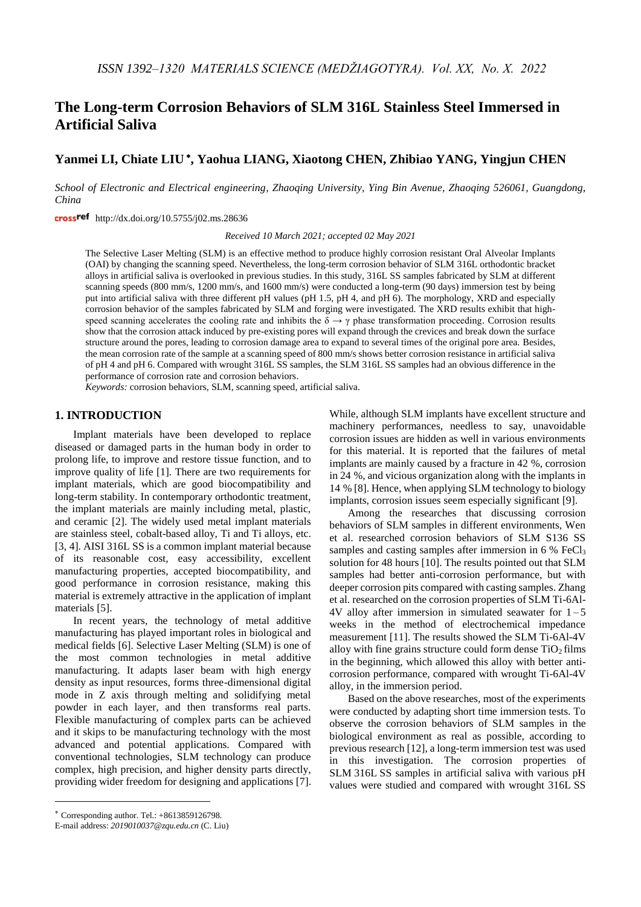# **The Long-term Corrosion Behaviors of SLM 316L Stainless Steel Immersed in Artificial Saliva**

# **Yanmei LI, Chiate LIU , Yaohua LIANG, Xiaotong CHEN, Zhibiao YANG, Yingjun CHEN**

*School of Electronic and Electrical engineering, Zhaoqing University, Ying Bin Avenue, Zhaoqing 526061, Guangdong, China*

crossref http://dx.doi.org/10.5755/j02.ms.28636

*Received 10 March 2021; accepted 02 May 2021*

The Selective Laser Melting (SLM) is an effective method to produce highly corrosion resistant Oral Alveolar Implants (OAI) by changing the scanning speed. Nevertheless, the long-term corrosion behavior of SLM 316L orthodontic bracket alloys in artificial saliva is overlooked in previous studies. In this study, 316L SS samples fabricated by SLM at different scanning speeds (800 mm/s, 1200 mm/s, and 1600 mm/s) were conducted a long-term (90 days) immersion test by being put into artificial saliva with three different pH values (pH 1.5, pH 4, and pH 6). The morphology, XRD and especially corrosion behavior of the samples fabricated by SLM and forging were investigated. The XRD results exhibit that highspeed scanning accelerates the cooling rate and inhibits the  $\delta \to \gamma$  phase transformation proceeding. Corrosion results show that the corrosion attack induced by pre-existing pores will expand through the crevices and break down the surface structure around the pores, leading to corrosion damage area to expand to several times of the original pore area. Besides, the mean corrosion rate of the sample at a scanning speed of 800 mm/s shows better corrosion resistance in artificial saliva of pH 4 and pH 6. Compared with wrought 316L SS samples, the SLM 316L SS samples had an obvious difference in the performance of corrosion rate and corrosion behaviors.

*Keywords:* corrosion behaviors, SLM, scanning speed, artificial saliva.

## **1. INTRODUCTION**

Implant materials have been developed to replace diseased or damaged parts in the human body in order to prolong life, to improve and restore tissue function, and to improve quality of life [1]. There are two requirements for implant materials, which are good biocompatibility and long-term stability. In contemporary orthodontic treatment, the implant materials are mainly including metal, plastic, and ceramic [2]. The widely used metal implant materials are stainless steel, cobalt-based alloy, Ti and Ti alloys, etc. [3, 4]. AISI 316L SS is a common implant material because of its reasonable cost, easy accessibility, excellent manufacturing properties, accepted biocompatibility, and good performance in corrosion resistance, making this material is extremely attractive in the application of implant materials [5].

In recent years, the technology of metal additive manufacturing has played important roles in biological and medical fields [6]. Selective Laser Melting (SLM) is one of the most common technologies in metal additive manufacturing. It adapts laser beam with high energy density as input resources, forms three-dimensional digital mode in Z axis through melting and solidifying metal powder in each layer, and then transforms real parts. Flexible manufacturing of complex parts can be achieved and it skips to be manufacturing technology with the most advanced and potential applications. Compared with conventional technologies, SLM technology can produce complex, high precision, and higher density parts directly, providing wider freedom for designing and applications [7].

Among the researches that discussing corrosion behaviors of SLM samples in different environments, Wen et al. researched corrosion behaviors of SLM S136 SS samples and casting samples after immersion in  $6\%$  FeCl<sub>3</sub> solution for 48 hours [10]. The results pointed out that SLM samples had better anti-corrosion performance, but with deeper corrosion pits compared with casting samples. Zhang et al. researched on the corrosion properties of SLM Ti-6Al-4V alloy after immersion in simulated seawater for  $1-5$ weeks in the method of electrochemical impedance measurement [11]. The results showed the SLM Ti-6Al-4V alloy with fine grains structure could form dense  $TiO<sub>2</sub>$  films in the beginning, which allowed this alloy with better anticorrosion performance, compared with wrought Ti-6Al-4V alloy, in the immersion period.

Based on the above researches, most of the experiments were conducted by adapting short time immersion tests. To observe the corrosion behaviors of SLM samples in the biological environment as real as possible, according to previous research [12], a long-term immersion test was used in this investigation. The corrosion properties of SLM 316L SS samples in artificial saliva with various pH values were studied and compared with wrought 316L SS

1

While, although SLM implants have excellent structure and machinery performances, needless to say, unavoidable corrosion issues are hidden as well in various environments for this material. It is reported that the failures of metal implants are mainly caused by a fracture in 42 %, corrosion in 24 %, and vicious organization along with the implants in 14 % [8]. Hence, when applying SLM technology to biology implants, corrosion issues seem especially significant [9].

Corresponding author. Tel.: +8613859126798.

E-mail address: *2019010037@zqu.edu.cn* (C. Liu)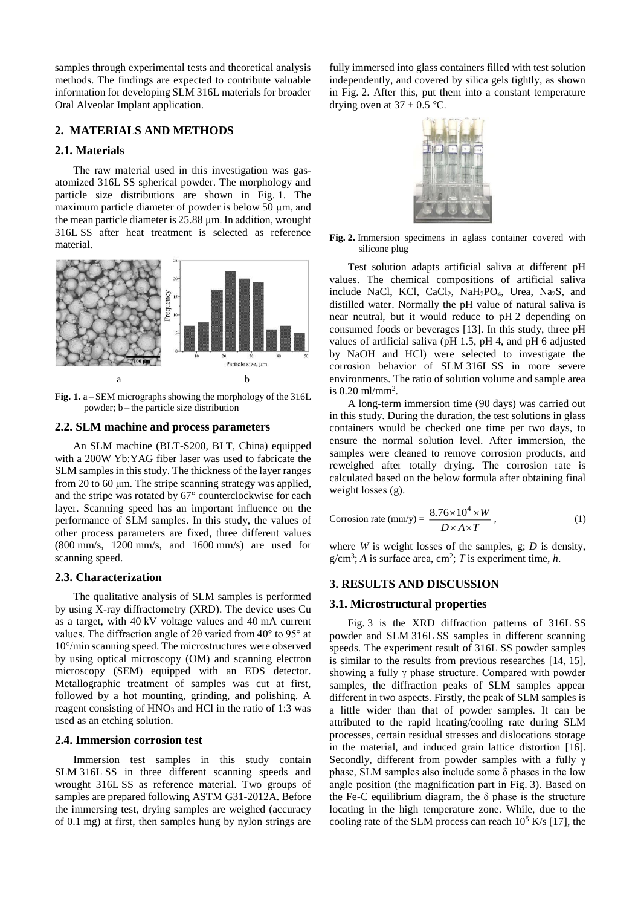samples through experimental tests and theoretical analysis methods. The findings are expected to contribute valuable information for developing SLM 316L materials for broader Oral Alveolar Implant application.

### **2. MATERIALS AND METHODS**

# **2.1. Materials**

The raw material used in this investigation was gasatomized 316L SS spherical powder. The morphology and particle size distributions are shown in Fig. 1. The maximum particle diameter of powder is below 50 μm, and the mean particle diameter is 25.88 μm. In addition, wrought 316L SS after heat treatment is selected as reference material.



**Fig. 1.** a – SEM micrographs showing the morphology of the 316L powder; b – the particle size distribution

### **2.2. SLM machine and process parameters**

An SLM machine (BLT-S200, BLT, China) equipped with a 200W Yb:YAG fiber laser was used to fabricate the SLM samples in this study. The thickness of the layer ranges from 20 to 60 μm. The stripe scanning strategy was applied, and the stripe was rotated by 67° counterclockwise for each layer. Scanning speed has an important influence on the performance of SLM samples. In this study, the values of other process parameters are fixed, three different values (800 mm/s, 1200 mm/s, and 1600 mm/s) are used for scanning speed.

# **2.3. Characterization**

The qualitative analysis of SLM samples is performed by using X-ray diffractometry (XRD). The device uses Cu as a target, with 40 kV voltage values and 40 mA current values. The diffraction angle of 2θ varied from 40° to 95° at 10°/min scanning speed. The microstructures were observed by using optical microscopy (OM) and scanning electron microscopy (SEM) equipped with an EDS detector. Metallographic treatment of samples was cut at first, followed by a hot mounting, grinding, and polishing. A reagent consisting of HNO<sub>3</sub> and HCl in the ratio of 1:3 was used as an etching solution.

### **2.4. Immersion corrosion test**

Immersion test samples in this study contain SLM 316L SS in three different scanning speeds and wrought 316L SS as reference material. Two groups of samples are prepared following ASTM G31-2012A. Before the immersing test, drying samples are weighed (accuracy of 0.1 mg) at first, then samples hung by nylon strings are fully immersed into glass containers filled with test solution independently, and covered by silica gels tightly, as shown in Fig. 2. After this, put them into a constant temperature drying oven at  $37 \pm 0.5$  °C.



**Fig. 2.** Immersion specimens in aglass container covered with silicone plug

Test solution adapts artificial saliva at different pH values. The chemical compositions of artificial saliva include NaCl, KCl, CaCl<sub>2</sub>, NaH<sub>2</sub>PO<sub>4</sub>, Urea, Na<sub>2</sub>S, and distilled water. Normally the pH value of natural saliva is near neutral, but it would reduce to pH 2 depending on consumed foods or beverages [13]. In this study, three pH values of artificial saliva (pH 1.5, pH 4, and pH 6 adjusted by NaOH and HCl) were selected to investigate the corrosion behavior of SLM 316L SS in more severe environments. The ratio of solution volume and sample area is 0.20 ml/mm<sup>2</sup> .

A long-term immersion time (90 days) was carried out in this study. During the duration, the test solutions in glass containers would be checked one time per two days, to ensure the normal solution level. After immersion, the samples were cleaned to remove corrosion products, and reweighed after totally drying. The corrosion rate is calculated based on the below formula after obtaining final weight losses (g).

Corrosion rate (mm/y) = 
$$
\frac{8.76 \times 10^4 \times W}{D \times A \times T}
$$
, (1)

where *W* is weight losses of the samples, g; *D* is density,  $g/cm^3$ ; *A* is surface area, cm<sup>2</sup>; *T* is experiment time, *h*.

# **3. RESULTS AND DISCUSSION**

### **3.1. Microstructural properties**

Fig. 3 is the XRD diffraction patterns of 316L SS powder and SLM 316L SS samples in different scanning speeds. The experiment result of 316L SS powder samples is similar to the results from previous researches [14, 15], showing a fully γ phase structure. Compared with powder samples, the diffraction peaks of SLM samples appear different in two aspects. Firstly, the peak of SLM samples is a little wider than that of powder samples. It can be attributed to the rapid heating/cooling rate during SLM processes, certain residual stresses and dislocations storage in the material, and induced grain lattice distortion [16]. Secondly, different from powder samples with a fully γ phase, SLM samples also include some  $\delta$  phases in the low angle position (the magnification part in Fig. 3). Based on the Fe-C equilibrium diagram, the  $\delta$  phase is the structure locating in the high temperature zone. While, due to the cooling rate of the SLM process can reach  $10^5$  K/s [17], the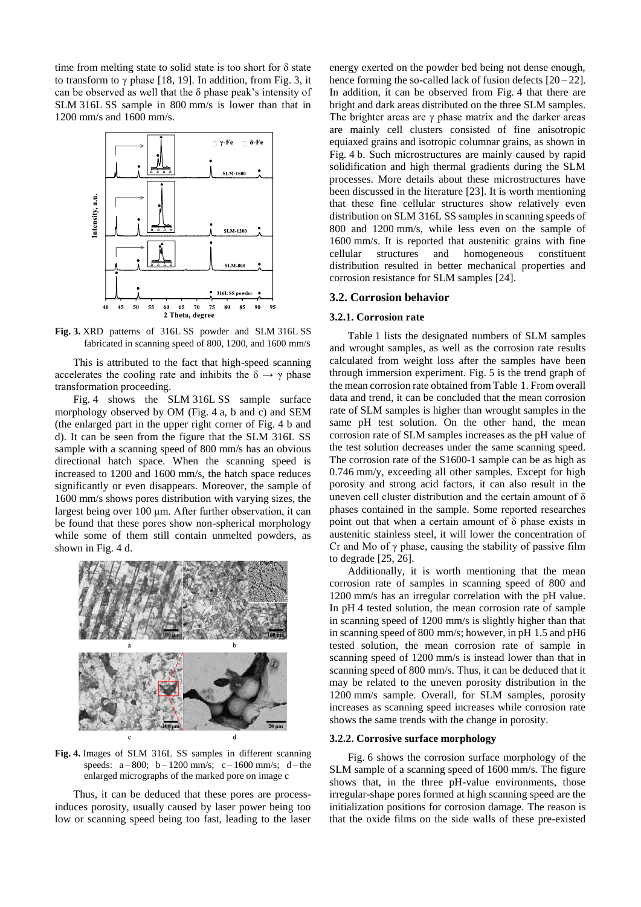time from melting state to solid state is too short for  $\delta$  state to transform to  $\gamma$  phase [18, 19]. In addition, from Fig. 3, it can be observed as well that the  $\delta$  phase peak's intensity of SLM 316L SS sample in 800 mm/s is lower than that in 1200 mm/s and 1600 mm/s.



**Fig. 3.** XRD patterns of 316L SS powder and SLM 316L SS fabricated in scanning speed of 800, 1200, and 1600 mm/s

This is attributed to the fact that high-speed scanning accelerates the cooling rate and inhibits the  $\delta \rightarrow \gamma$  phase transformation proceeding.

Fig. 4 shows the SLM 316L SS sample surface morphology observed by OM (Fig. 4 a, b and c) and SEM (the enlarged part in the upper right corner of Fig. 4 b and d). It can be seen from the figure that the SLM 316L SS sample with a scanning speed of 800 mm/s has an obvious directional hatch space. When the scanning speed is increased to 1200 and 1600 mm/s, the hatch space reduces significantly or even disappears. Moreover, the sample of 1600 mm/s shows pores distribution with varying sizes, the largest being over 100 μm. After further observation, it can be found that these pores show non-spherical morphology while some of them still contain unmelted powders, as shown in Fig. 4 d.



**Fig. 4.** Images of SLM 316L SS samples in different scanning speeds:  $a - 800$ ;  $b - 1200$  mm/s;  $c - 1600$  mm/s;  $d - the$ enlarged micrographs of the marked pore on image c

Thus, it can be deduced that these pores are processinduces porosity, usually caused by laser power being too low or scanning speed being too fast, leading to the laser energy exerted on the powder bed being not dense enough, hence forming the so-called lack of fusion defects  $[20-22]$ . In addition, it can be observed from Fig. 4 that there are bright and dark areas distributed on the three SLM samples. The brighter areas are  $\gamma$  phase matrix and the darker areas are mainly cell clusters consisted of fine anisotropic equiaxed grains and isotropic columnar grains, as shown in Fig. 4 b. Such microstructures are mainly caused by rapid solidification and high thermal gradients during the SLM processes. More details about these microstructures have been discussed in the literature [23]. It is worth mentioning that these fine cellular structures show relatively even distribution on SLM 316L SS samples in scanning speeds of 800 and 1200 mm/s, while less even on the sample of 1600 mm/s. It is reported that austenitic grains with fine cellular structures and homogeneous constituent distribution resulted in better mechanical properties and corrosion resistance for SLM samples [24].

#### **3.2. Corrosion behavior**

#### **3.2.1. Corrosion rate**

Table 1 lists the designated numbers of SLM samples and wrought samples, as well as the corrosion rate results calculated from weight loss after the samples have been through immersion experiment. Fig. 5 is the trend graph of the mean corrosion rate obtained from Table 1. From overall data and trend, it can be concluded that the mean corrosion rate of SLM samples is higher than wrought samples in the same pH test solution. On the other hand, the mean corrosion rate of SLM samples increases as the pH value of the test solution decreases under the same scanning speed. The corrosion rate of the S1600-1 sample can be as high as 0.746 mm/y, exceeding all other samples. Except for high porosity and strong acid factors, it can also result in the uneven cell cluster distribution and the certain amount of δ phases contained in the sample. Some reported researches point out that when a certain amount of  $\delta$  phase exists in austenitic stainless steel, it will lower the concentration of Cr and Mo of  $\gamma$  phase, causing the stability of passive film to degrade [25, 26].

Additionally, it is worth mentioning that the mean corrosion rate of samples in scanning speed of 800 and 1200 mm/s has an irregular correlation with the pH value. In pH 4 tested solution, the mean corrosion rate of sample in scanning speed of 1200 mm/s is slightly higher than that in scanning speed of 800 mm/s; however, in pH 1.5 and pH6 tested solution, the mean corrosion rate of sample in scanning speed of 1200 mm/s is instead lower than that in scanning speed of 800 mm/s. Thus, it can be deduced that it may be related to the uneven porosity distribution in the 1200 mm/s sample. Overall, for SLM samples, porosity increases as scanning speed increases while corrosion rate shows the same trends with the change in porosity.

#### **3.2.2. Corrosive surface morphology**

Fig. 6 shows the corrosion surface morphology of the SLM sample of a scanning speed of 1600 mm/s. The figure shows that, in the three pH-value environments, those irregular-shape pores formed at high scanning speed are the initialization positions for corrosion damage. The reason is that the oxide films on the side walls of these pre-existed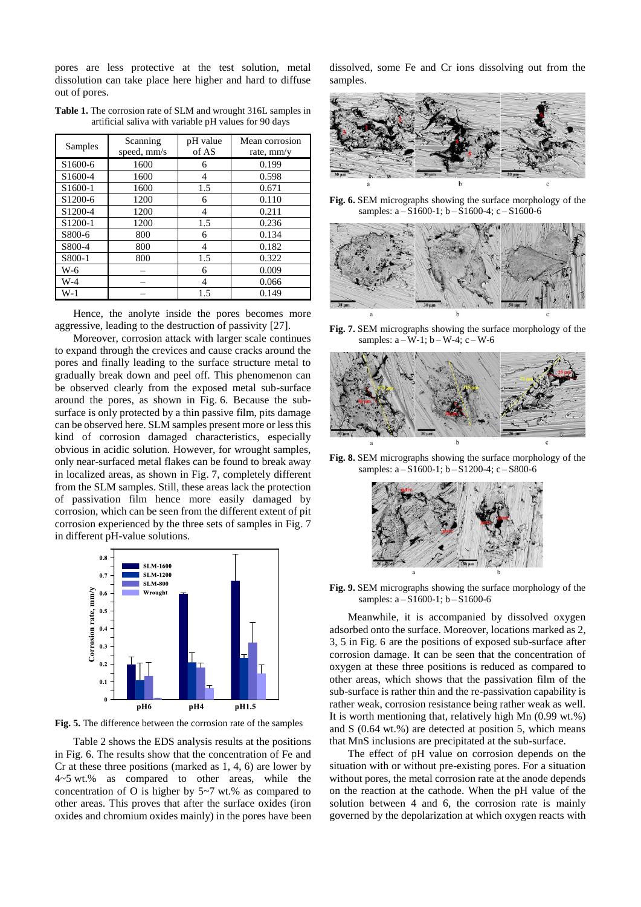pores are less protective at the test solution, metal dissolution can take place here higher and hard to diffuse out of pores.

| <b>Table 1.</b> The corrosion rate of SLM and wrought 316L samples in |  |  |  |
|-----------------------------------------------------------------------|--|--|--|
| artificial saliva with variable pH values for 90 days                 |  |  |  |
|                                                                       |  |  |  |

| Samples             | Scanning<br>speed, mm/s | pH value<br>of AS | Mean corrosion<br>rate, mm/y |  |
|---------------------|-------------------------|-------------------|------------------------------|--|
| S1600-6             | 1600                    | 6                 | 0.199                        |  |
| S1600-4             | 1600                    | 4                 | 0.598                        |  |
| S1600-1             | 1600                    | 1.5               | 0.671                        |  |
| S1200-6             | 1200                    | 6                 | 0.110                        |  |
| S <sub>1200-4</sub> | 1200                    | 4                 | 0.211                        |  |
| S1200-1             | 1200                    | 1.5               | 0.236                        |  |
| S800-6              | 800                     | 6                 | 0.134                        |  |
| S800-4              | 800                     | 4                 | 0.182                        |  |
| S800-1              | 800                     | 1.5               | 0.322                        |  |
| W-6                 |                         | 6                 | 0.009                        |  |
| W-4                 |                         | 4                 | 0.066                        |  |
| $W-1$               |                         | 1.5               | 0.149                        |  |

Hence, the anolyte inside the pores becomes more aggressive, leading to the destruction of passivity [27].

Moreover, corrosion attack with larger scale continues to expand through the crevices and cause cracks around the pores and finally leading to the surface structure metal to gradually break down and peel off. This phenomenon can be observed clearly from the exposed metal sub-surface around the pores, as shown in Fig. 6. Because the subsurface is only protected by a thin passive film, pits damage can be observed here. SLM samples present more or less this kind of corrosion damaged characteristics, especially obvious in acidic solution. However, for wrought samples, only near-surfaced metal flakes can be found to break away in localized areas, as shown in Fig. 7, completely different from the SLM samples. Still, these areas lack the protection of passivation film hence more easily damaged by corrosion, which can be seen from the different extent of pit corrosion experienced by the three sets of samples in Fig. 7 in different pH-value solutions.



**Fig. 5.** The difference between the corrosion rate of the samples

Table 2 shows the EDS analysis results at the positions in Fig. 6. The results show that the concentration of Fe and Cr at these three positions (marked as 1, 4, 6) are lower by 4~5 wt.% as compared to other areas, while the concentration of O is higher by 5~7 wt.% as compared to other areas. This proves that after the surface oxides (iron oxides and chromium oxides mainly) in the pores have been dissolved, some Fe and Cr ions dissolving out from the samples.



**Fig. 6.** SEM micrographs showing the surface morphology of the samples: a – S1600-1; b – S1600-4; c – S1600-6



**Fig. 7.** SEM micrographs showing the surface morphology of the samples:  $a-W-1$ ;  $b-W-4$ ;  $c-W-6$ 



**Fig. 8.** SEM micrographs showing the surface morphology of the samples: a – S1600-1; b – S1200-4; c – S800-6



**Fig. 9.** SEM micrographs showing the surface morphology of the samples: a – S1600-1; b – S1600-6

Meanwhile, it is accompanied by dissolved oxygen adsorbed onto the surface. Moreover, locations marked as 2, 3, 5 in Fig. 6 are the positions of exposed sub-surface after corrosion damage. It can be seen that the concentration of oxygen at these three positions is reduced as compared to other areas, which shows that the passivation film of the sub-surface is rather thin and the re-passivation capability is rather weak, corrosion resistance being rather weak as well. It is worth mentioning that, relatively high Mn (0.99 wt.%) and S (0.64 wt.%) are detected at position 5, which means that MnS inclusions are precipitated at the sub-surface.

The effect of pH value on corrosion depends on the situation with or without pre-existing pores. For a situation without pores, the metal corrosion rate at the anode depends on the reaction at the cathode. When the pH value of the solution between 4 and 6, the corrosion rate is mainly governed by the depolarization at which oxygen reacts with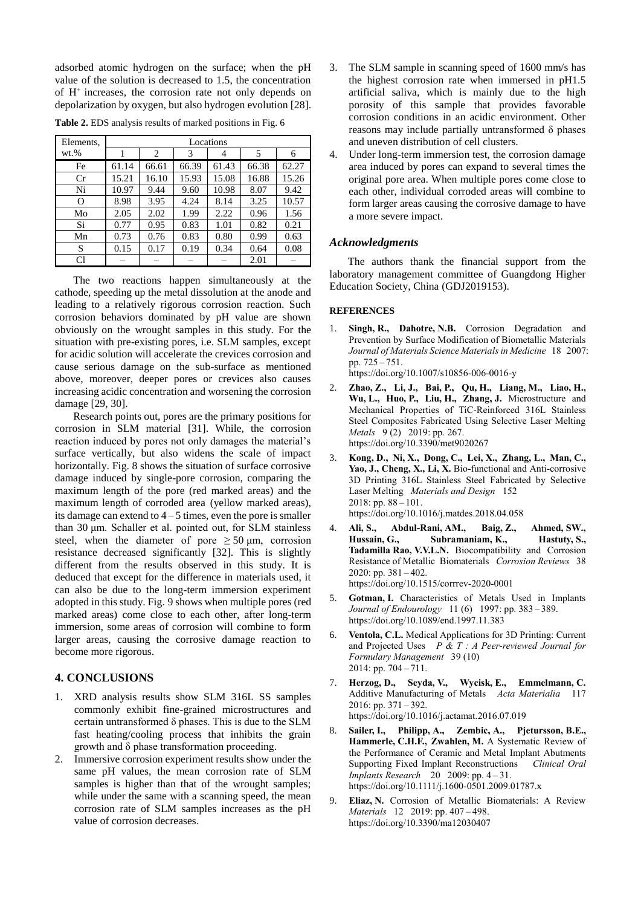adsorbed atomic hydrogen on the surface; when the pH value of the solution is decreased to 1.5, the concentration of  $H^+$  increases, the corrosion rate not only depends on depolarization by oxygen, but also hydrogen evolution [28].

| Elements, | Locations |       |       |       |       |       |  |
|-----------|-----------|-------|-------|-------|-------|-------|--|
| $wt.$ %   |           | 2     | 3     |       | 5     | 6     |  |
| Fe        | 61.14     | 66.61 | 66.39 | 61.43 | 66.38 | 62.27 |  |
| Cr        | 15.21     | 16.10 | 15.93 | 15.08 | 16.88 | 15.26 |  |
| Ni        | 10.97     | 9.44  | 9.60  | 10.98 | 8.07  | 9.42  |  |
| Ω         | 8.98      | 3.95  | 4.24  | 8.14  | 3.25  | 10.57 |  |
| Mo        | 2.05      | 2.02  | 1.99  | 2.22  | 0.96  | 1.56  |  |
| Si        | 0.77      | 0.95  | 0.83  | 1.01  | 0.82  | 0.21  |  |
| Mn        | 0.73      | 0.76  | 0.83  | 0.80  | 0.99  | 0.63  |  |
| S         | 0.15      | 0.17  | 0.19  | 0.34  | 0.64  | 0.08  |  |
| Cl        |           |       |       |       | 2.01  |       |  |

**Table 2.** EDS analysis results of marked positions in Fig. 6

The two reactions happen simultaneously at the cathode, speeding up the metal dissolution at the anode and leading to a relatively rigorous corrosion reaction. Such corrosion behaviors dominated by pH value are shown obviously on the wrought samples in this study. For the situation with pre-existing pores, i.e. SLM samples, except for acidic solution will accelerate the crevices corrosion and cause serious damage on the sub-surface as mentioned above, moreover, deeper pores or crevices also causes increasing acidic concentration and worsening the corrosion damage [29, 30].

Research points out, pores are the primary positions for corrosion in SLM material [31]. While, the corrosion reaction induced by pores not only damages the material's surface vertically, but also widens the scale of impact horizontally. Fig. 8 shows the situation of surface corrosive damage induced by single-pore corrosion, comparing the maximum length of the pore (red marked areas) and the maximum length of corroded area (yellow marked areas), its damage can extend to  $4-5$  times, even the pore is smaller than 30 μm. Schaller et al. pointed out, for SLM stainless steel, when the diameter of pore  $\geq 50 \text{ µm}$ , corrosion resistance decreased significantly [32]. This is slightly different from the results observed in this study. It is deduced that except for the difference in materials used, it can also be due to the long-term immersion experiment adopted in this study. Fig. 9 shows when multiple pores (red marked areas) come close to each other, after long-term immersion, some areas of corrosion will combine to form larger areas, causing the corrosive damage reaction to become more rigorous.

# **4. CONCLUSIONS**

- 1. XRD analysis results show SLM 316L SS samples commonly exhibit fine-grained microstructures and certain untransformed δ phases. This is due to the SLM fast heating/cooling process that inhibits the grain growth and δ phase transformation proceeding.
- 2. Immersive corrosion experiment results show under the same pH values, the mean corrosion rate of SLM samples is higher than that of the wrought samples; while under the same with a scanning speed, the mean corrosion rate of SLM samples increases as the pH value of corrosion decreases.
- 3. The SLM sample in scanning speed of 1600 mm/s has the highest corrosion rate when immersed in pH1.5 artificial saliva, which is mainly due to the high porosity of this sample that provides favorable corrosion conditions in an acidic environment. Other reasons may include partially untransformed δ phases and uneven distribution of cell clusters.
- 4. Under long-term immersion test, the corrosion damage area induced by pores can expand to several times the original pore area. When multiple pores come close to each other, individual corroded areas will combine to form larger areas causing the corrosive damage to have a more severe impact.

# *Acknowledgments*

The authors thank the financial support from the laboratory management committee of Guangdong Higher Education Society, China (GDJ2019153).

### **REFERENCES**

1. **Singh, R., Dahotre, N.B.** Corrosion Degradation and Prevention by Surface Modification of Biometallic Materials *Journal of Materials Science Materials in Medicine* 18 2007: pp. 725 – 751.

https://doi.org/10.1007/s10856-006-0016-y

- 2. **Zhao, Z., Li, J., Bai, P., Qu, H., Liang, M., Liao, H., Wu, L., Huo, P., Liu, H., Zhang, J.** Microstructure and Mechanical Properties of TiC-Reinforced 316L Stainless Steel Composites Fabricated Using Selective Laser Melting *Metals* 9 (2) 2019: pp. 267. https://doi.org/10.3390/met9020267
- 3. **Kong, D., Ni, X., Dong, C., Lei, X., Zhang, L., Man, C., Yao, J., Cheng, X., Li, X.** Bio-functional and Anti-corrosive 3D Printing 316L Stainless Steel Fabricated by Selective Laser Melting *Materials and Design* 152 2018: pp. 88 – 101. <https://doi.org/10.1016/j.matdes.2018.04.058>
- 4. **Ali, S., Abdul-Rani, AM., Baig, Z., Ahmed, SW., Hussain, G., Subramaniam, K., Hastuty, S., Tadamilla Rao, V.V.L.N.** Biocompatibility and Corrosion Resistance of Metallic Biomaterials *Corrosion Reviews* 38  $2020:$  pp.  $381 - 402$ . <https://doi.org/10.1515/corrrev-2020-0001>
- 5. **Gotman, I.** Characteristics of Metals Used in Implants *Journal of Endourology* 11 (6) 1997: pp. 383 – 389. https://doi.org/10.1089/end.1997.11.383
- 6. **Ventola, C.L.** Medical Applications for 3D Printing: Current and Projected Uses *P & T : A Peer-reviewed Journal for Formulary Management* 39 (10) 2014: pp.  $704 - 711$ .
- 7. **Herzog, D., Seyda, V., Wycisk, E., Emmelmann, C.** Additive Manufacturing of Metals *Acta Materialia* 117 2016: pp. 371 – 392. https://doi.org/10.1016/j.actamat.2016.07.019
- 8. **Sailer, I., Philipp, A., Zembic, A., Pjetursson, B.E., Hammerle, C.H.F., Zwahlen, M.** A Systematic Review of the Performance of Ceramic and Metal Implant Abutments Supporting Fixed Implant Reconstructions *Clinical Oral Implants Research* 20 2009: pp. 4 – 31. https://doi.org/10.1111/j.1600-0501.2009.01787.x
- 9. **Eliaz, N.** Corrosion of Metallic Biomaterials: A Review *Materials* 12 2019: pp. 407 – 498. https://doi.org/10.3390/ma12030407